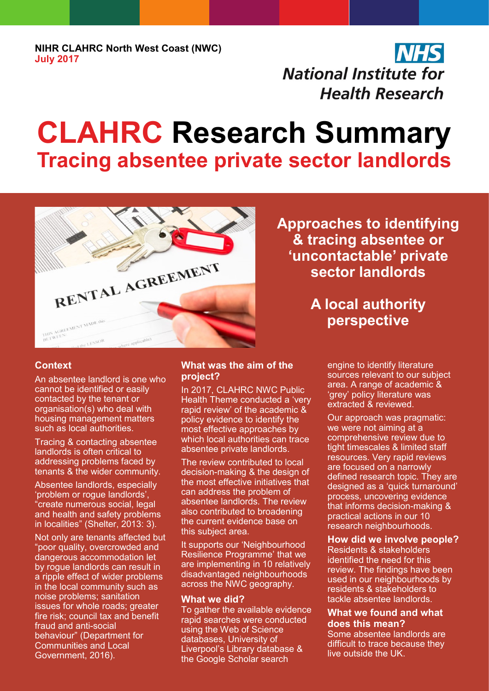**NIHR CLAHRC North West Coast (NWC) July 2017**

## **NHS National Institute for Health Research**

# **CLAHRC Research Summary Tracing absentee private sector landlords**



**Context**

An absentee landlord is one who cannot be identified or easily contacted by the tenant or organisation(s) who deal with housing management matters such as local authorities.

Tracing & contacting absentee landlords is often critical to addressing problems faced by tenants & the wider community.

Absentee landlords, especially 'problem or rogue landlords', "create numerous social, legal and health and safety problems in localities" (Shelter, 2013: 3).

Not only are tenants affected but "poor quality, overcrowded and dangerous accommodation let by rogue landlords can result in a ripple effect of wider problems in the local community such as noise problems; sanitation issues for whole roads; greater fire risk; council tax and benefit fraud and anti-social behaviour" [\(Department for](https://www.gov.uk/government/organisations/department-for-communities-and-local-government)  [Communities and Local](https://www.gov.uk/government/organisations/department-for-communities-and-local-government)  [Government,](https://www.gov.uk/government/organisations/department-for-communities-and-local-government) 2016).

#### **What was the aim of the project?**

In 2017, CLAHRC NWC Public Health Theme conducted a 'very rapid review' of the academic & policy evidence to identify the most effective approaches by which local authorities can trace absentee private landlords.

The review contributed to local decision-making & the design of the most effective initiatives that can address the problem of absentee landlords. The review also contributed to broadening the current evidence base on this subject area.

It supports our 'Neighbourhood Resilience Programme' that we are implementing in 10 relatively disadvantaged neighbourhoods across the NWC geography.

#### **What we did?**

To gather the available evidence rapid searches were conducted using the Web of Science databases, University of Liverpool's Library database & the Google Scholar search

**Approaches to identifying & tracing absentee or 'uncontactable' private sector landlords** 

### **A local authority perspective**

engine to identify literature sources relevant to our subject area. A range of academic & 'grey' policy literature was extracted & reviewed.

Our approach was pragmatic: we were not aiming at a comprehensive review due to tight timescales & limited staff resources. Very rapid reviews are focused on a narrowly defined research topic. They are designed as a 'quick turnaround' process, uncovering evidence that informs decision-making & practical actions in our 10 research neighbourhoods.

#### **How did we involve people?**

Residents & stakeholders identified the need for this review. The findings have been used in our neighbourhoods by residents & stakeholders to tackle absentee landlords.

#### **What we found and what does this mean?**

Some absentee landlords are difficult to trace because they live outside the UK.